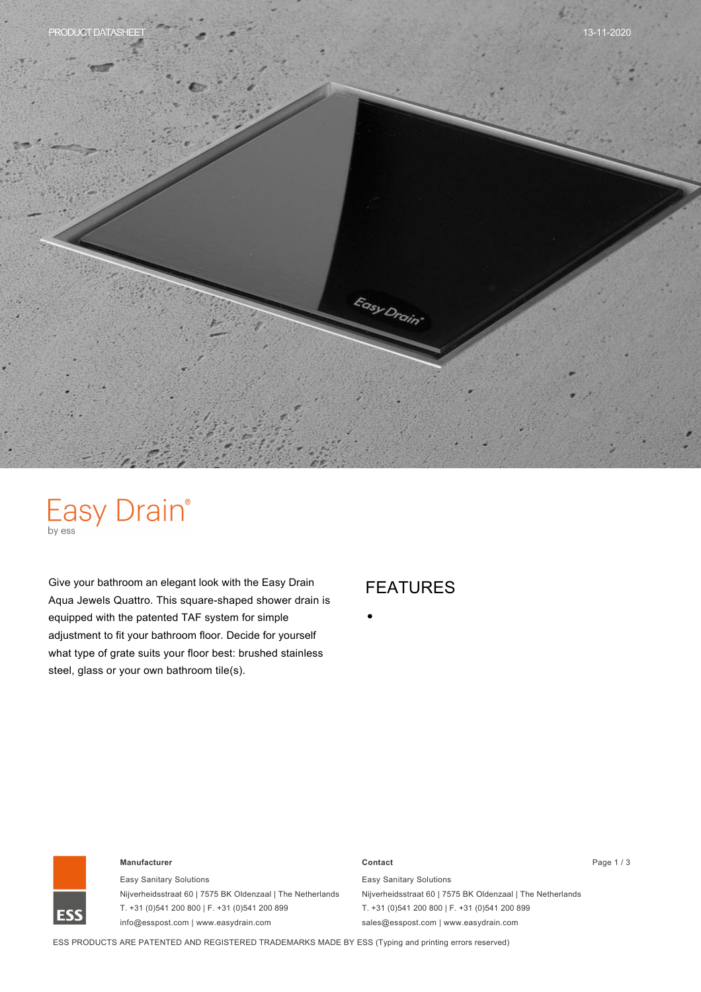

# Easy Drain®

Give your bathroom an elegant look with the Easy Drain Aqua Jewels Quattro. This square-shaped shower drain is equipped with the patented TAF system for simple adjustment to fit your bathroom floor. Decide for yourself what type of grate suits your floor best: brushed stainless steel, glass or your own bathroom tile(s).

## FEATURES



#### **Manufacturer Contact** Page 1 / 3

Easy Sanitary Solutions Nijverheidsstraat 60 | 7575 BK Oldenzaal | The Netherlands T. +31 (0)541 200 800 | F. +31 (0)541 200 899 info@esspost.com | www.easydrain.com

Easy Sanitary Solutions Nijverheidsstraat 60 | 7575 BK Oldenzaal | The Netherlands T. +31 (0)541 200 800 | F. +31 (0)541 200 899 sales@esspost.com | www.easydrain.com

ESS PRODUCTS ARE PATENTED AND REGISTERED TRADEMARKS MADE BY ESS (Typing and printing errors reserved)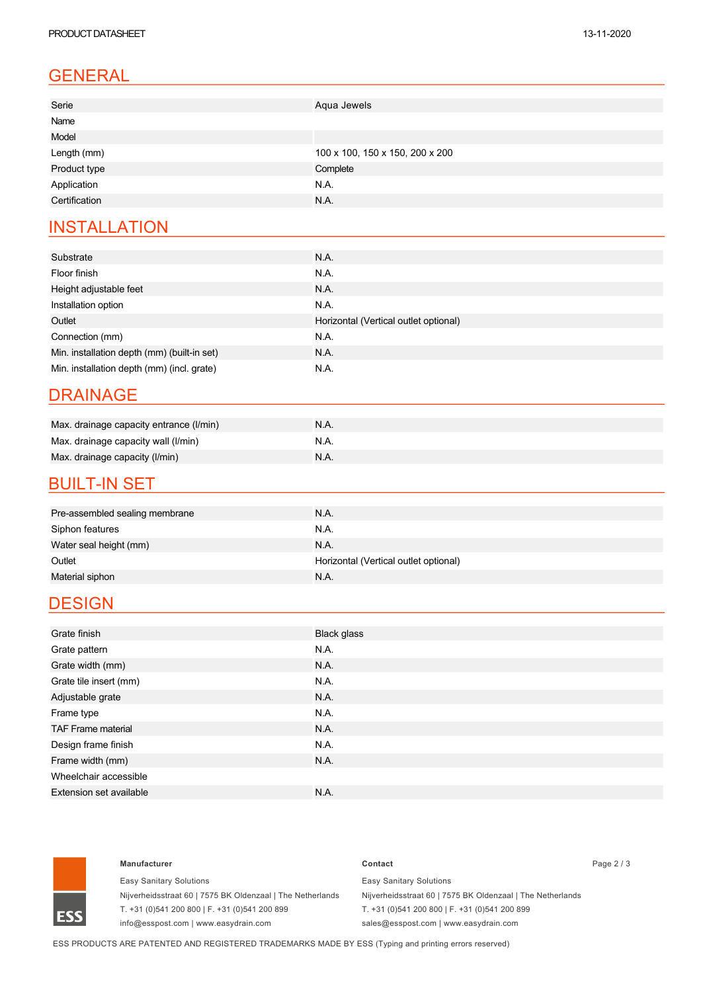# GENERAL

| Serie         | Aqua Jewels                     |
|---------------|---------------------------------|
| Name          |                                 |
| Model         |                                 |
| Length (mm)   | 100 x 100, 150 x 150, 200 x 200 |
| Product type  | Complete                        |
| Application   | N.A.                            |
| Certification | N.A.                            |

### **INSTALLATION**

| Substrate                                   | N.A.                                  |
|---------------------------------------------|---------------------------------------|
| Floor finish                                | N.A.                                  |
| Height adjustable feet                      | N.A.                                  |
| Installation option                         | N.A.                                  |
| Outlet                                      | Horizontal (Vertical outlet optional) |
| Connection (mm)                             | N.A.                                  |
| Min. installation depth (mm) (built-in set) | <b>N.A.</b>                           |
| Min. installation depth (mm) (incl. grate)  | N.A.                                  |

#### DRAINAGE

| Max. drainage capacity entrance (I/min) | <b>N.A.</b> |
|-----------------------------------------|-------------|
| Max. drainage capacity wall (I/min)     | N.A.        |
| Max. drainage capacity (I/min)          | N.A.        |

### **BUILT-IN SET**

| Pre-assembled sealing membrane | N.A.                                  |
|--------------------------------|---------------------------------------|
| Siphon features                | N.A.                                  |
| Water seal height (mm)         | N.A.                                  |
| Outlet                         | Horizontal (Vertical outlet optional) |
| Material siphon                | N.A.                                  |

## **DESIGN**

| Grate finish                   | Black glass |
|--------------------------------|-------------|
| Grate pattern                  | N.A.        |
| Grate width (mm)               | N.A.        |
| Grate tile insert (mm)         | N.A.        |
| Adjustable grate               | N.A.        |
| Frame type                     | N.A.        |
| <b>TAF Frame material</b>      | N.A.        |
| Design frame finish            | N.A.        |
| Frame width (mm)               | N.A.        |
| Wheelchair accessible          |             |
| <b>Extension set available</b> | N.A.        |



#### **Manufacturer Contact** Page 2 / 3

Easy Sanitary Solutions Nijverheidsstraat 60 | 7575 BK Oldenzaal | The Netherlands T. +31 (0)541 200 800 | F. +31 (0)541 200 899 info@esspost.com | www.easydrain.com

Easy Sanitary Solutions Nijverheidsstraat 60 | 7575 BK Oldenzaal | The Netherlands T. +31 (0)541 200 800 | F. +31 (0)541 200 899 sales@esspost.com | www.easydrain.com

ESS PRODUCTS ARE PATENTED AND REGISTERED TRADEMARKS MADE BY ESS (Typing and printing errors reserved)